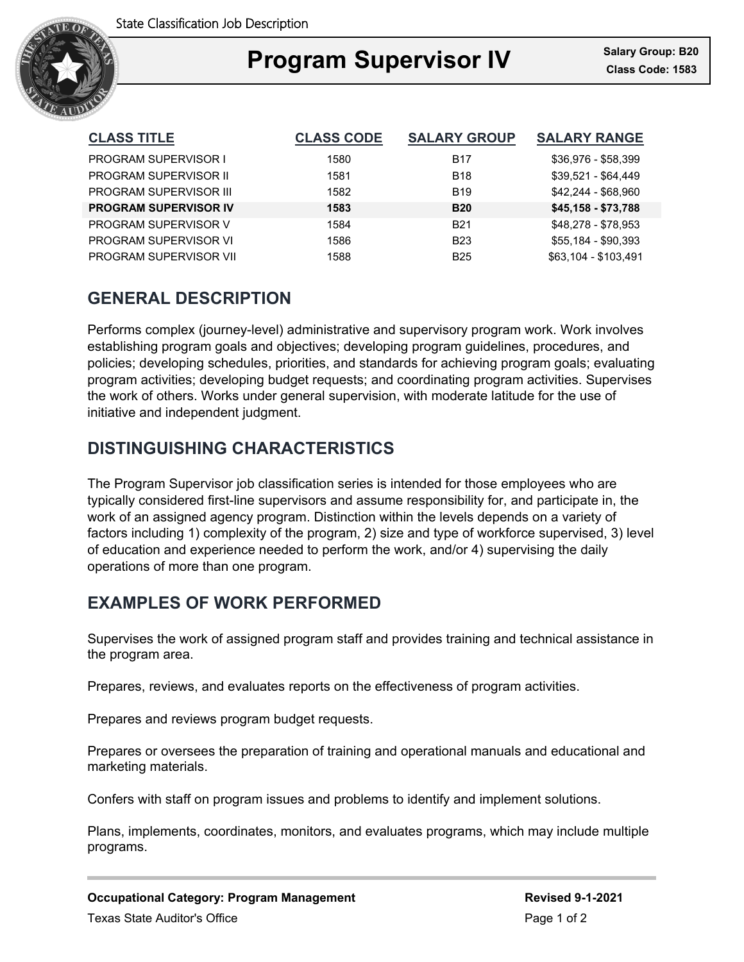

### Ξ **Program Supervisor IV Class Code: 1583**

| <b>CLASS TITLE</b>           | <b>CLASS CODE</b> | <b>SALARY GROUP</b> | <b>SALARY RANGE</b>  |
|------------------------------|-------------------|---------------------|----------------------|
| <b>PROGRAM SUPERVISOR I</b>  | 1580              | <b>B17</b>          | \$36,976 - \$58,399  |
| <b>PROGRAM SUPERVISOR II</b> | 1581              | <b>B18</b>          | \$39,521 - \$64,449  |
| PROGRAM SUPERVISOR III       | 1582              | <b>B19</b>          | \$42.244 - \$68.960  |
| <b>PROGRAM SUPERVISOR IV</b> | 1583              | <b>B20</b>          | \$45,158 - \$73,788  |
| PROGRAM SUPERVISOR V         | 1584              | <b>B21</b>          | \$48.278 - \$78.953  |
| PROGRAM SUPERVISOR VI        | 1586              | <b>B23</b>          | \$55,184 - \$90,393  |
| PROGRAM SUPERVISOR VII       | 1588              | <b>B25</b>          | \$63,104 - \$103,491 |

# **GENERAL DESCRIPTION**

Performs complex (journey-level) administrative and supervisory program work. Work involves establishing program goals and objectives; developing program guidelines, procedures, and policies; developing schedules, priorities, and standards for achieving program goals; evaluating program activities; developing budget requests; and coordinating program activities. Supervises the work of others. Works under general supervision, with moderate latitude for the use of initiative and independent judgment.

# **DISTINGUISHING CHARACTERISTICS**

The Program Supervisor job classification series is intended for those employees who are typically considered first-line supervisors and assume responsibility for, and participate in, the work of an assigned agency program. Distinction within the levels depends on a variety of factors including 1) complexity of the program, 2) size and type of workforce supervised, 3) level of education and experience needed to perform the work, and/or 4) supervising the daily operations of more than one program.

## **EXAMPLES OF WORK PERFORMED**

Supervises the work of assigned program staff and provides training and technical assistance in the program area.

Prepares, reviews, and evaluates reports on the effectiveness of program activities.

Prepares and reviews program budget requests.

Prepares or oversees the preparation of training and operational manuals and educational and marketing materials.

Confers with staff on program issues and problems to identify and implement solutions.

Plans, implements, coordinates, monitors, and evaluates programs, which may include multiple programs.